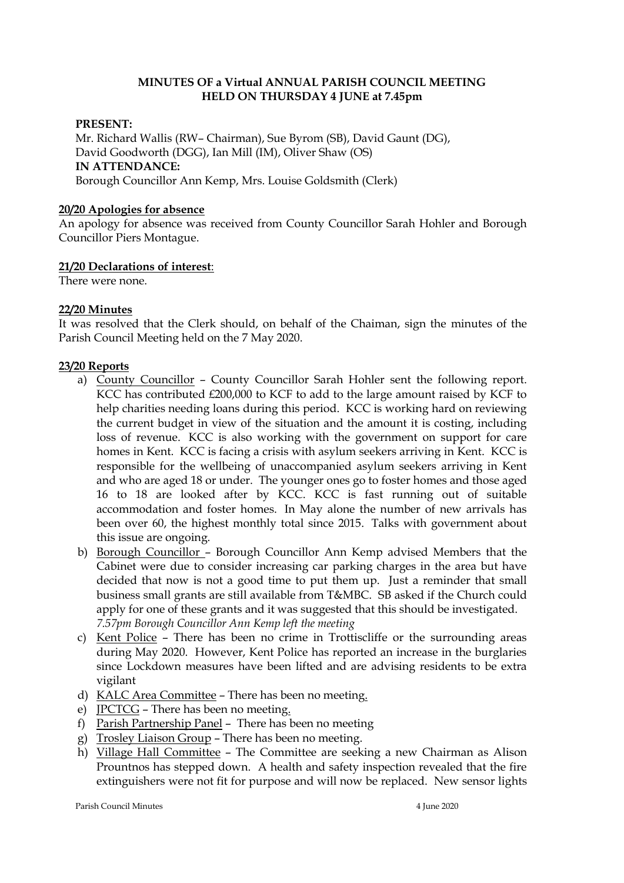# **MINUTES OF a Virtual ANNUAL PARISH COUNCIL MEETING HELD ON THURSDAY 4 JUNE at 7.45pm**

## **PRESENT:**

Mr. Richard Wallis (RW– Chairman), Sue Byrom (SB), David Gaunt (DG), David Goodworth (DGG), Ian Mill (IM), Oliver Shaw (OS) **IN ATTENDANCE:**  Borough Councillor Ann Kemp, Mrs. Louise Goldsmith (Clerk)

#### **20/20 Apologies for absence**

An apology for absence was received from County Councillor Sarah Hohler and Borough Councillor Piers Montague.

## **21/20 Declarations of interest**:

There were none.

## **22/20 Minutes**

It was resolved that the Clerk should, on behalf of the Chaiman, sign the minutes of the Parish Council Meeting held on the 7 May 2020.

## **23/20 Reports**

- a) County Councillor County Councillor Sarah Hohler sent the following report. KCC has contributed £200,000 to KCF to add to the large amount raised by KCF to help charities needing loans during this period. KCC is working hard on reviewing the current budget in view of the situation and the amount it is costing, including loss of revenue. KCC is also working with the government on support for care homes in Kent. KCC is facing a crisis with asylum seekers arriving in Kent. KCC is responsible for the wellbeing of unaccompanied asylum seekers arriving in Kent and who are aged 18 or under. The younger ones go to foster homes and those aged 16 to 18 are looked after by KCC. KCC is fast running out of suitable accommodation and foster homes. In May alone the number of new arrivals has been over 60, the highest monthly total since 2015. Talks with government about this issue are ongoing.
- b) Borough Councillor Borough Councillor Ann Kemp advised Members that the Cabinet were due to consider increasing car parking charges in the area but have decided that now is not a good time to put them up. Just a reminder that small business small grants are still available from T&MBC. SB asked if the Church could apply for one of these grants and it was suggested that this should be investigated. *7.57pm Borough Councillor Ann Kemp left the meeting*
- c) Kent Police There has been no crime in Trottiscliffe or the surrounding areas during May 2020. However, Kent Police has reported an increase in the burglaries since Lockdown measures have been lifted and are advising residents to be extra vigilant
- d) KALC Area Committee There has been no meeting.
- e) JPCTCG There has been no meeting.
- f) Parish Partnership Panel There has been no meeting
- g) Trosley Liaison Group There has been no meeting.
- h) Village Hall Committee The Committee are seeking a new Chairman as Alison Prountnos has stepped down. A health and safety inspection revealed that the fire extinguishers were not fit for purpose and will now be replaced. New sensor lights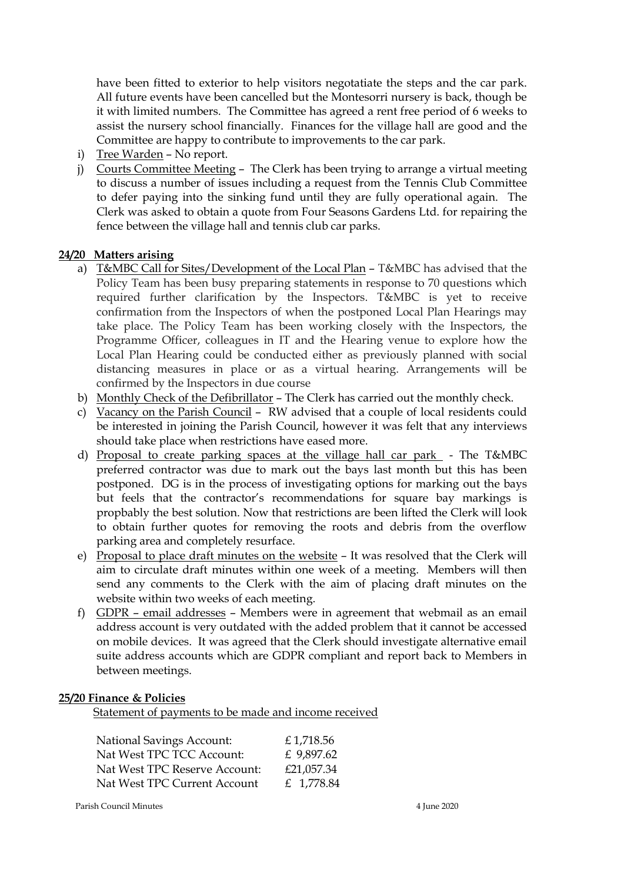have been fitted to exterior to help visitors negotatiate the steps and the car park. All future events have been cancelled but the Montesorri nursery is back, though be it with limited numbers. The Committee has agreed a rent free period of 6 weeks to assist the nursery school financially. Finances for the village hall are good and the Committee are happy to contribute to improvements to the car park.

- i) Tree Warden No report.
- j) Courts Committee Meeting The Clerk has been trying to arrange a virtual meeting to discuss a number of issues including a request from the Tennis Club Committee to defer paying into the sinking fund until they are fully operational again. The Clerk was asked to obtain a quote from Four Seasons Gardens Ltd. for repairing the fence between the village hall and tennis club car parks.

# **24/20 Matters arising**

- a) T&MBC Call for Sites/Development of the Local Plan T&MBC has advised that the Policy Team has been busy preparing statements in response to 70 questions which required further clarification by the Inspectors. T&MBC is yet to receive confirmation from the Inspectors of when the postponed Local Plan Hearings may take place. The Policy Team has been working closely with the Inspectors, the Programme Officer, colleagues in IT and the Hearing venue to explore how the Local Plan Hearing could be conducted either as previously planned with social distancing measures in place or as a virtual hearing. Arrangements will be confirmed by the Inspectors in due course
- b) Monthly Check of the Defibrillator The Clerk has carried out the monthly check.
- c) Vacancy on the Parish Council RW advised that a couple of local residents could be interested in joining the Parish Council, however it was felt that any interviews should take place when restrictions have eased more.
- d) Proposal to create parking spaces at the village hall car park The T&MBC preferred contractor was due to mark out the bays last month but this has been postponed. DG is in the process of investigating options for marking out the bays but feels that the contractor's recommendations for square bay markings is propbably the best solution. Now that restrictions are been lifted the Clerk will look to obtain further quotes for removing the roots and debris from the overflow parking area and completely resurface.
- e) Proposal to place draft minutes on the website It was resolved that the Clerk will aim to circulate draft minutes within one week of a meeting. Members will then send any comments to the Clerk with the aim of placing draft minutes on the website within two weeks of each meeting.
- f) GDPR email addresses Members were in agreement that webmail as an email address account is very outdated with the added problem that it cannot be accessed on mobile devices. It was agreed that the Clerk should investigate alternative email suite address accounts which are GDPR compliant and report back to Members in between meetings.

#### **25/20 Finance & Policies**

Statement of payments to be made and income received

| <b>National Savings Account:</b> | £1,718.56  |
|----------------------------------|------------|
| Nat West TPC TCC Account:        | £ 9,897.62 |
| Nat West TPC Reserve Account:    | £21,057.34 |
| Nat West TPC Current Account     | £ 1,778.84 |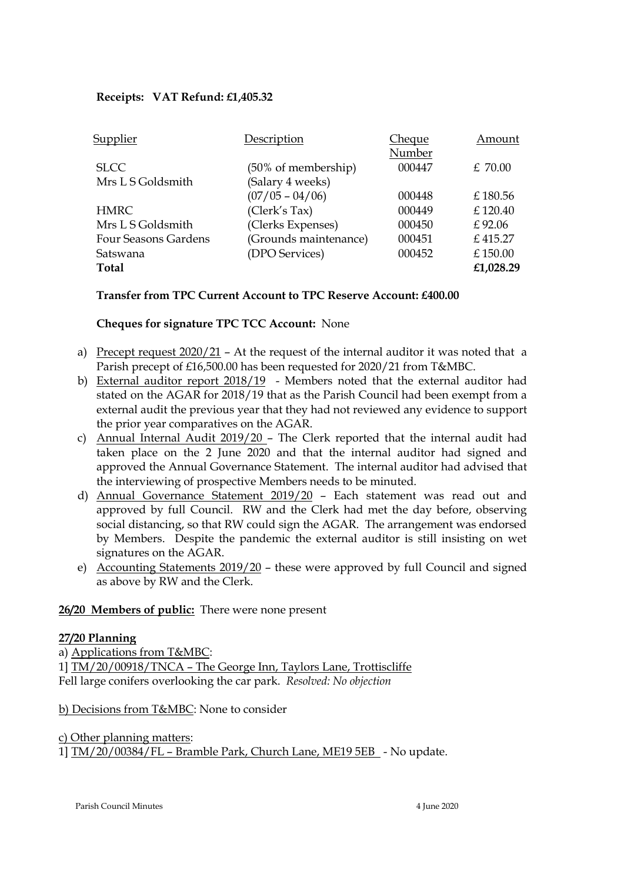# **Receipts: VAT Refund: £1,405.32**

| Supplier             | Description           | <u>Cheque</u> | Amount    |
|----------------------|-----------------------|---------------|-----------|
|                      |                       | Number        |           |
| <b>SLCC</b>          | (50% of membership)   | 000447        | £70.00    |
| Mrs L S Goldsmith    | (Salary 4 weeks)      |               |           |
|                      | $(07/05 - 04/06)$     | 000448        | £180.56   |
| <b>HMRC</b>          | (Clerk's Tax)         | 000449        | £120.40   |
| Mrs L S Goldsmith    | (Clerks Expenses)     | 000450        | £92.06    |
| Four Seasons Gardens | (Grounds maintenance) | 000451        | £415.27   |
| Satswana             | (DPO Services)        | 000452        | £150.00   |
| Total                |                       |               | £1,028.29 |

## **Transfer from TPC Current Account to TPC Reserve Account: £400.00**

**Cheques for signature TPC TCC Account:** None

- a) Precept request  $2020/21$  At the request of the internal auditor it was noted that a Parish precept of £16,500.00 has been requested for 2020/21 from T&MBC.
- b) External auditor report 2018/19 Members noted that the external auditor had stated on the AGAR for 2018/19 that as the Parish Council had been exempt from a external audit the previous year that they had not reviewed any evidence to support the prior year comparatives on the AGAR.
- c) Annual Internal Audit 2019/20 The Clerk reported that the internal audit had taken place on the 2 June 2020 and that the internal auditor had signed and approved the Annual Governance Statement. The internal auditor had advised that the interviewing of prospective Members needs to be minuted.
- d) Annual Governance Statement 2019/20 Each statement was read out and approved by full Council. RW and the Clerk had met the day before, observing social distancing, so that RW could sign the AGAR. The arrangement was endorsed by Members. Despite the pandemic the external auditor is still insisting on wet signatures on the AGAR.
- e) Accounting Statements 2019/20 these were approved by full Council and signed as above by RW and the Clerk.

#### **26/20 Members of public:** There were none present

#### **27/20 Planning**

a) Applications from T&MBC: 1] TM/20/00918/TNCA – The George Inn, Taylors Lane, Trottiscliffe Fell large conifers overlooking the car park. *Resolved: No objection* 

#### b) Decisions from T&MBC: None to consider

# c) Other planning matters: 1] TM/20/00384/FL – Bramble Park, Church Lane, ME19 5EB - No update.